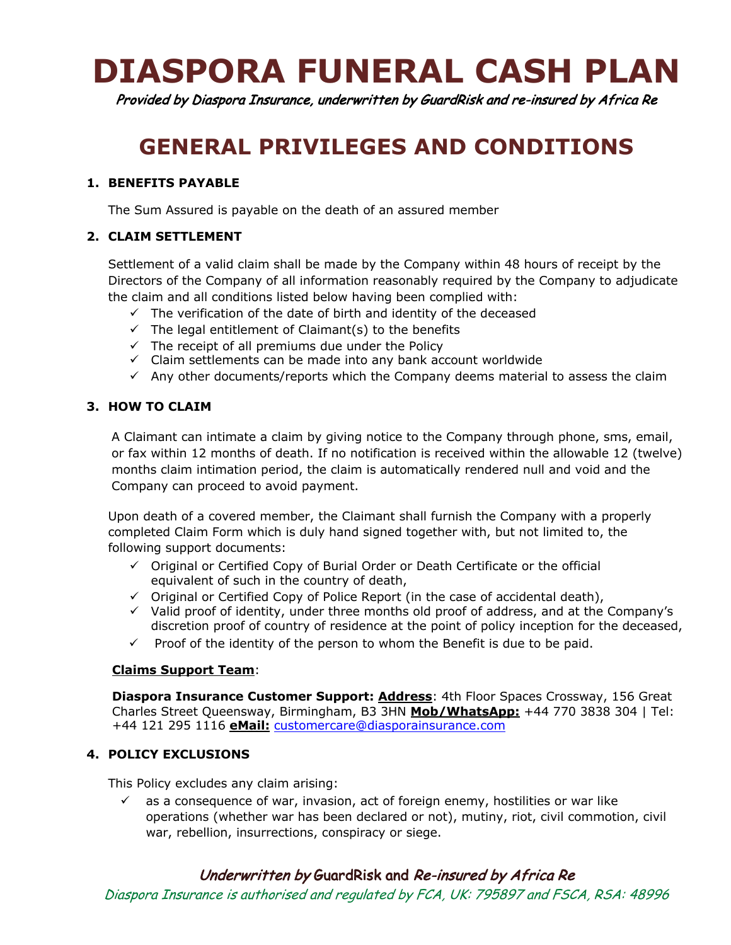# **DIASPORA FUNERAL CASH PLAN**

Provided by Diaspora Insurance, underwritten by GuardRisk and re-insured by Africa Re

# **GENERAL PRIVILEGES AND CONDITIONS**

### **1. BENEFITS PAYABLE**

The Sum Assured is payable on the death of an assured member

## **2. CLAIM SETTLEMENT**

Settlement of a valid claim shall be made by the Company within 48 hours of receipt by the Directors of the Company of all information reasonably required by the Company to adjudicate the claim and all conditions listed below having been complied with:

- $\checkmark$  The verification of the date of birth and identity of the deceased
- $\checkmark$  The legal entitlement of Claimant(s) to the benefits
- $\checkmark$  The receipt of all premiums due under the Policy
- $\checkmark$  Claim settlements can be made into any bank account worldwide
- $\checkmark$  Any other documents/reports which the Company deems material to assess the claim

#### **3. HOW TO CLAIM**

A Claimant can intimate a claim by giving notice to the Company through phone, sms, email, or fax within 12 months of death. If no notification is received within the allowable 12 (twelve) months claim intimation period, the claim is automatically rendered null and void and the Company can proceed to avoid payment.

Upon death of a covered member, the Claimant shall furnish the Company with a properly completed Claim Form which is duly hand signed together with, but not limited to, the following support documents:

- $\checkmark$  Original or Certified Copy of Burial Order or Death Certificate or the official equivalent of such in the country of death,
- $\checkmark$  Original or Certified Copy of Police Report (in the case of accidental death),
- $\checkmark$  Valid proof of identity, under three months old proof of address, and at the Company's discretion proof of country of residence at the point of policy inception for the deceased,
- $\checkmark$  Proof of the identity of the person to whom the Benefit is due to be paid.

#### **Claims Support Team**:

**Diaspora Insurance Customer Support: Address**: 4th Floor Spaces Crossway, 156 Great Charles Street Queensway, Birmingham, B3 3HN **Mob/WhatsApp:** +44 770 3838 304 | Tel: +44 121 295 1116 **eMail:** customercare@diasporainsurance.com

#### **4. POLICY EXCLUSIONS**

This Policy excludes any claim arising:

 $\checkmark$  as a consequence of war, invasion, act of foreign enemy, hostilities or war like operations (whether war has been declared or not), mutiny, riot, civil commotion, civil war, rebellion, insurrections, conspiracy or siege.

# Underwritten by GuardRisk and Re-insured by Africa Re

Diaspora Insurance is authorised and regulated by FCA, UK: 795897 and FSCA, RSA: 48996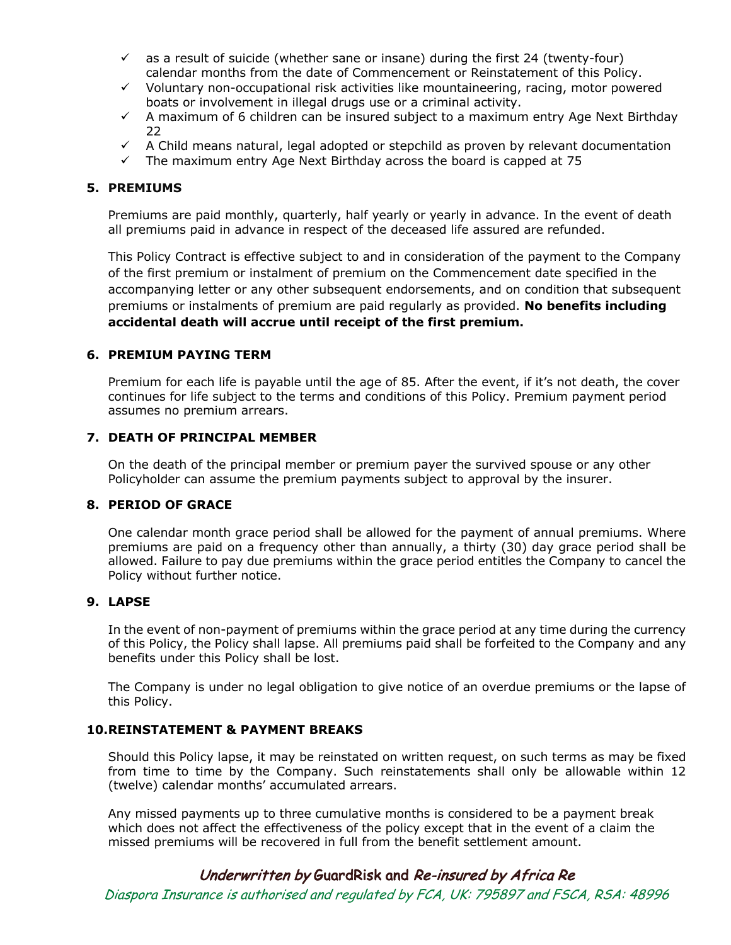- $\checkmark$  as a result of suicide (whether sane or insane) during the first 24 (twenty-four) calendar months from the date of Commencement or Reinstatement of this Policy.
- $\checkmark$  Voluntary non-occupational risk activities like mountaineering, racing, motor powered boats or involvement in illegal drugs use or a criminal activity.
- $\checkmark$  A maximum of 6 children can be insured subject to a maximum entry Age Next Birthday 22
- $\checkmark$  A Child means natural, legal adopted or stepchild as proven by relevant documentation
- $\checkmark$  The maximum entry Age Next Birthday across the board is capped at 75

#### **5. PREMIUMS**

Premiums are paid monthly, quarterly, half yearly or yearly in advance. In the event of death all premiums paid in advance in respect of the deceased life assured are refunded.

This Policy Contract is effective subject to and in consideration of the payment to the Company of the first premium or instalment of premium on the Commencement date specified in the accompanying letter or any other subsequent endorsements, and on condition that subsequent premiums or instalments of premium are paid regularly as provided. **No benefits including accidental death will accrue until receipt of the first premium.**

#### **6. PREMIUM PAYING TERM**

Premium for each life is payable until the age of 85. After the event, if it's not death, the cover continues for life subject to the terms and conditions of this Policy. Premium payment period assumes no premium arrears.

#### **7. DEATH OF PRINCIPAL MEMBER**

On the death of the principal member or premium payer the survived spouse or any other Policyholder can assume the premium payments subject to approval by the insurer.

#### **8. PERIOD OF GRACE**

One calendar month grace period shall be allowed for the payment of annual premiums. Where premiums are paid on a frequency other than annually, a thirty (30) day grace period shall be allowed. Failure to pay due premiums within the grace period entitles the Company to cancel the Policy without further notice.

#### **9. LAPSE**

In the event of non-payment of premiums within the grace period at any time during the currency of this Policy, the Policy shall lapse. All premiums paid shall be forfeited to the Company and any benefits under this Policy shall be lost.

The Company is under no legal obligation to give notice of an overdue premiums or the lapse of this Policy.

#### **10.REINSTATEMENT & PAYMENT BREAKS**

Should this Policy lapse, it may be reinstated on written request, on such terms as may be fixed from time to time by the Company. Such reinstatements shall only be allowable within 12 (twelve) calendar months' accumulated arrears.

Any missed payments up to three cumulative months is considered to be a payment break which does not affect the effectiveness of the policy except that in the event of a claim the missed premiums will be recovered in full from the benefit settlement amount.

# Underwritten by GuardRisk and Re-insured by Africa Re

Diaspora Insurance is authorised and regulated by FCA, UK: 795897 and FSCA, RSA: 48996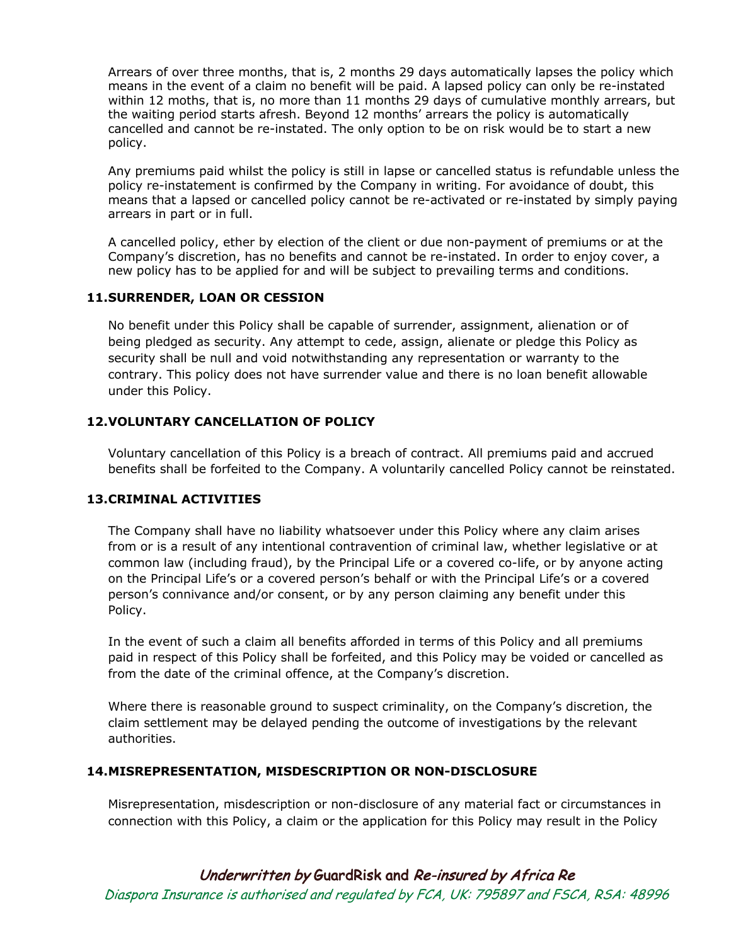Arrears of over three months, that is, 2 months 29 days automatically lapses the policy which means in the event of a claim no benefit will be paid. A lapsed policy can only be re-instated within 12 moths, that is, no more than 11 months 29 days of cumulative monthly arrears, but the waiting period starts afresh. Beyond 12 months' arrears the policy is automatically cancelled and cannot be re-instated. The only option to be on risk would be to start a new policy.

Any premiums paid whilst the policy is still in lapse or cancelled status is refundable unless the policy re-instatement is confirmed by the Company in writing. For avoidance of doubt, this means that a lapsed or cancelled policy cannot be re-activated or re-instated by simply paying arrears in part or in full.

A cancelled policy, ether by election of the client or due non-payment of premiums or at the Company's discretion, has no benefits and cannot be re-instated. In order to enjoy cover, a new policy has to be applied for and will be subject to prevailing terms and conditions.

#### **11.SURRENDER, LOAN OR CESSION**

No benefit under this Policy shall be capable of surrender, assignment, alienation or of being pledged as security. Any attempt to cede, assign, alienate or pledge this Policy as security shall be null and void notwithstanding any representation or warranty to the contrary. This policy does not have surrender value and there is no loan benefit allowable under this Policy.

#### **12.VOLUNTARY CANCELLATION OF POLICY**

Voluntary cancellation of this Policy is a breach of contract. All premiums paid and accrued benefits shall be forfeited to the Company. A voluntarily cancelled Policy cannot be reinstated.

#### **13.CRIMINAL ACTIVITIES**

The Company shall have no liability whatsoever under this Policy where any claim arises from or is a result of any intentional contravention of criminal law, whether legislative or at common law (including fraud), by the Principal Life or a covered co-life, or by anyone acting on the Principal Life's or a covered person's behalf or with the Principal Life's or a covered person's connivance and/or consent, or by any person claiming any benefit under this Policy.

In the event of such a claim all benefits afforded in terms of this Policy and all premiums paid in respect of this Policy shall be forfeited, and this Policy may be voided or cancelled as from the date of the criminal offence, at the Company's discretion.

Where there is reasonable ground to suspect criminality, on the Company's discretion, the claim settlement may be delayed pending the outcome of investigations by the relevant authorities.

#### **14.MISREPRESENTATION, MISDESCRIPTION OR NON-DISCLOSURE**

Misrepresentation, misdescription or non-disclosure of any material fact or circumstances in connection with this Policy, a claim or the application for this Policy may result in the Policy